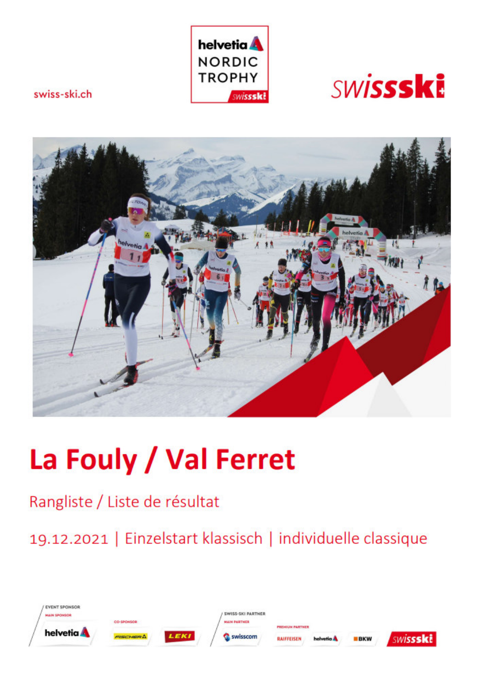



swiss-ski.ch



## La Fouly / Val Ferret

## Rangliste / Liste de résultat

19.12.2021 | Einzelstart klassisch | individuelle classique

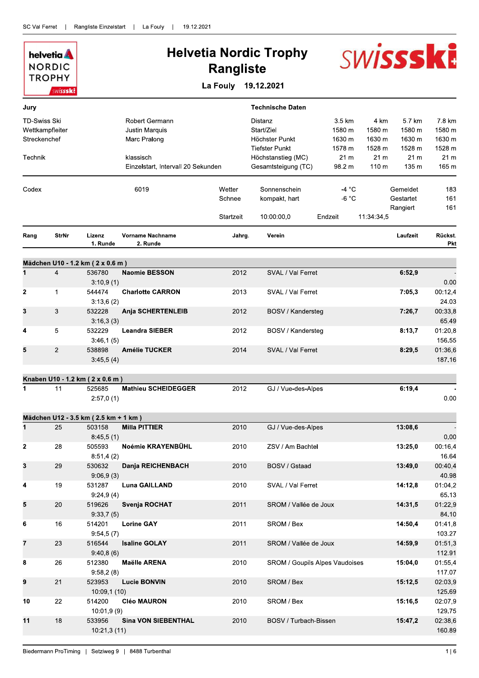|                     | helvetia <b>A</b><br><b>NORDIC</b> |                                            |                                     | <b>Rangliste</b> | <b>Helvetia Nordic Trophy</b>           |                                |                  | <b>SWISSSKE</b>           |                           |
|---------------------|------------------------------------|--------------------------------------------|-------------------------------------|------------------|-----------------------------------------|--------------------------------|------------------|---------------------------|---------------------------|
|                     | <b>TROPHY</b><br>swissski          |                                            |                                     | La Fouly         | 19.12.2021                              |                                |                  |                           |                           |
| Jury                |                                    |                                            |                                     |                  | <b>Technische Daten</b>                 |                                |                  |                           |                           |
| <b>TD-Swiss Ski</b> |                                    |                                            | Robert Germann                      |                  | Distanz                                 | 3.5 km                         | 4 km             | 5.7 km                    | 7.8 km                    |
| Wettkampfleiter     |                                    |                                            | Justin Marquis                      |                  | Start/Ziel                              | 1580 m                         | 1580 m           | 1580 m                    | 1580 m                    |
| Streckenchef        |                                    |                                            | Marc Pralong                        |                  | Höchster Punkt<br><b>Tiefster Punkt</b> | 1630 m                         | 1630 m<br>1528 m | 1630 m                    | 1630 m                    |
| Technik             |                                    |                                            | klassisch                           |                  | Höchstanstieg (MC)                      | 1578 m<br>21 m                 | 21 <sub>m</sub>  | 1528 m<br>21 <sub>m</sub> | 1528 m<br>21 <sub>m</sub> |
|                     |                                    |                                            | Einzelstart, Intervall 20 Sekunden  |                  | Gesamtsteigung (TC)                     | 98.2 m                         | 110 <sub>m</sub> | 135 m                     | 165 m                     |
| Codex               |                                    |                                            | 6019                                | Wetter           | Sonnenschein                            | -4 °C                          |                  | Gemeldet                  | 183                       |
|                     |                                    |                                            |                                     | Schnee           | kompakt, hart                           | $-6 °C$                        |                  | Gestartet                 | 161                       |
|                     |                                    |                                            |                                     |                  |                                         |                                |                  | Rangiert                  | 161                       |
|                     |                                    |                                            |                                     | Startzeit        | 10:00:00.0                              | Endzeit                        | 11:34:34,5       |                           |                           |
| Rang                | <b>StrNr</b>                       | Lizenz<br>1. Runde                         | <b>Vorname Nachname</b><br>2. Runde | Jahrg.           | Verein                                  |                                |                  | Laufzeit                  | Rückst.<br><b>Pkt</b>     |
|                     |                                    |                                            |                                     |                  |                                         |                                |                  |                           |                           |
| 1                   | $\overline{4}$                     | Mädchen U10 - 1.2 km (2 x 0.6 m)<br>536780 | <b>Naomie BESSON</b>                | 2012             | SVAL / Val Ferret                       |                                |                  | 6:52,9                    |                           |
|                     |                                    | 3:10,9(1)                                  |                                     |                  |                                         |                                |                  |                           | 0.00                      |
| 2                   | $\mathbf 1$                        | 544474                                     | <b>Charlotte CARRON</b>             | 2013             | SVAL / Val Ferret                       |                                |                  | 7:05,3                    | 00:12,4                   |
|                     |                                    | 3:13,6(2)                                  |                                     |                  |                                         |                                |                  |                           | 24.03                     |
| 3                   | 3                                  | 532228<br>3:16,3(3)                        | <b>Anja SCHERTENLEIB</b>            | 2012             | BOSV / Kandersteg                       |                                |                  | 7:26,7                    | 00:33,8<br>65.49          |
| 4                   | 5                                  | 532229                                     | <b>Leandra SIEBER</b>               | 2012             | BOSV / Kandersteg                       |                                |                  | 8:13,7                    | 01:20,8                   |
|                     |                                    | 3:46,1(5)                                  |                                     |                  |                                         |                                |                  |                           | 156.55                    |
| 5                   | $\overline{2}$                     | 538898                                     | <b>Amélie TUCKER</b>                | 2014             | SVAL / Val Ferret                       |                                |                  | 8:29,5                    | 01:36,6                   |
|                     |                                    | 3:45,5(4)                                  |                                     |                  |                                         |                                |                  |                           | 187.16                    |
|                     |                                    | Knaben U10 - 1.2 km (2 x 0.6 m)            |                                     |                  |                                         |                                |                  |                           |                           |
| 1                   | 11                                 | 525685                                     | <b>Mathieu SCHEIDEGGER</b>          | 2012             | GJ / Vue-des-Alpes                      |                                |                  | 6:19,4                    |                           |
|                     |                                    | 2:57,0(1)                                  |                                     |                  |                                         |                                |                  |                           | 0.00                      |
|                     |                                    | Mädchen U12 - 3.5 km (2.5 km + 1 km)       |                                     |                  |                                         |                                |                  |                           |                           |
| $\mathbf 1$         | 25                                 | 503158                                     | <b>Milla PITTIER</b>                | 2010             | GJ / Vue-des-Alpes                      |                                |                  | 13:08,6                   |                           |
| 2                   | 28                                 | 8:45,5(1)<br>505593                        | Noémie KRAYENBÜHL                   | 2010             | ZSV / Am Bachtel                        |                                |                  | 13:25,0                   | 0.00<br>00:16,4           |
|                     |                                    | 8:51,4(2)                                  |                                     |                  |                                         |                                |                  |                           | 16.64                     |
| 3                   | 29                                 | 530632                                     | Danja REICHENBACH                   | 2010             | <b>BOSV / Gstaad</b>                    |                                |                  | 13:49,0                   | 00:40,4                   |
|                     |                                    | 9:06,9(3)                                  |                                     |                  |                                         |                                |                  |                           | 40.98                     |
| 4                   | 19                                 | 531287                                     | Luna GAILLAND                       | 2010             | SVAL / Val Ferret                       |                                |                  | 14:12,8                   | 01:04,2                   |
| 5                   | 20                                 | 9:24,9(4)<br>519626                        | Svenja ROCHAT                       | 2011             | SROM / Vallée de Joux                   |                                |                  | 14:31,5                   | 65.13<br>01:22,9          |
|                     |                                    | 9:33,7(5)                                  |                                     |                  |                                         |                                |                  |                           | 84.10                     |
| 6                   | 16                                 | 514201                                     | <b>Lorine GAY</b>                   | 2011             | SROM / Bex                              |                                |                  | 14:50,4                   | 01:41,8                   |
|                     |                                    | 9:54,5(7)                                  |                                     |                  |                                         |                                |                  |                           | 103.27                    |
| 7                   | 23                                 | 516544                                     | <b>Isaline GOLAY</b>                | 2011             | SROM / Vallée de Joux                   |                                |                  | 14:59,9                   | 01:51,3                   |
| 8                   | 26                                 | 9:40,8(6)<br>512380                        | <b>Maëlle ARENA</b>                 | 2010             |                                         | SROM / Goupils Alpes Vaudoises |                  | 15:04,0                   | 112.91<br>01:55,4         |
|                     |                                    | 9:58,2(8)                                  |                                     |                  |                                         |                                |                  |                           | 117.07                    |
| 9                   | 21                                 | 523953                                     | <b>Lucie BONVIN</b>                 | 2010             | SROM / Bex                              |                                |                  | 15:12,5                   | 02:03,9                   |
|                     |                                    | 10:09,1(10)                                |                                     |                  |                                         |                                |                  |                           | 125.69                    |
| 10                  | 22                                 | 514200                                     | <b>Cléo MAURON</b>                  | 2010             | SROM / Bex                              |                                |                  | 15:16.5                   | 02:07,9                   |
| 11                  | 18                                 | 10:01,9(9)<br>533956                       | <b>Sina VON SIEBENTHAL</b>          | 2010             | BOSV / Turbach-Bissen                   |                                |                  | 15:47,2                   | 129.75<br>02:38,6         |
|                     |                                    | 10:21,3(11)                                |                                     |                  |                                         |                                |                  |                           | 160.89                    |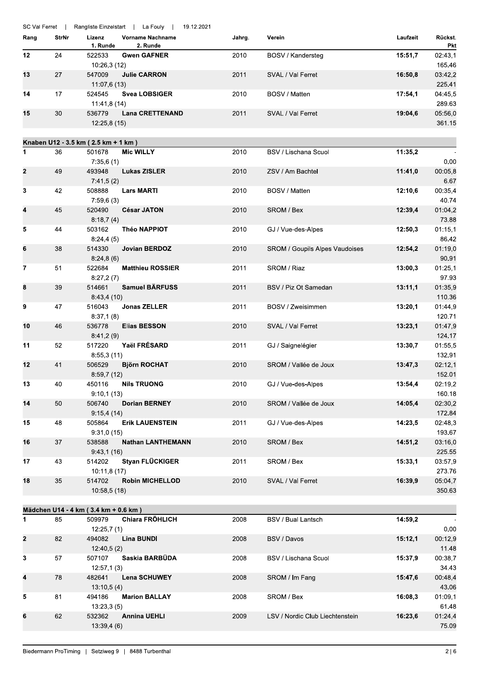| Rang        | <b>StrNr</b><br>24 | Lizenz<br>1. Runde                   | <b>Vorname Nachname</b><br>2. Runde | Jahrg. | Verein                                | Laufzeit | Rückst.                 |
|-------------|--------------------|--------------------------------------|-------------------------------------|--------|---------------------------------------|----------|-------------------------|
|             |                    |                                      |                                     |        |                                       |          | Pkt                     |
| 12          |                    | 522533<br>10:26,3 (12)               | <b>Gwen GAFNER</b>                  | 2010   | BOSV / Kandersteg                     | 15:51,7  | 02:43,1<br>165.46       |
| 13          | 27                 | 547009<br>11:07,6 (13)               | <b>Julie CARRON</b>                 | 2011   | SVAL / Val Ferret                     | 16:50,8  | 03:42,2<br>225.41       |
| 14          | 17                 | 524545<br>11:41,8 (14)               | <b>Svea LOBSIGER</b>                | 2010   | BOSV / Matten                         | 17:54,1  | 04:45,5<br>289.63       |
| 15          | 30                 | 536779<br>12:25,8(15)                | <b>Lana CRETTENAND</b>              | 2011   | SVAL / Val Ferret                     | 19:04,6  | 05:56,0<br>361.15       |
|             |                    | Knaben U12 - 3.5 km (2.5 km + 1 km)  |                                     |        |                                       |          |                         |
| 1           | 36                 | 501678                               | <b>Mic WILLY</b>                    | 2010   | <b>BSV / Lischana Scuol</b>           | 11:35,2  |                         |
| 2           | 49                 | 7:35,6(1)<br>493948<br>7:41,5(2)     | <b>Lukas ZISLER</b>                 | 2010   | ZSV / Am Bachtel                      | 11:41,0  | 0.00<br>00:05,8<br>6.67 |
| 3           | 42                 | 508888<br>7:59,6(3)                  | <b>Lars MARTI</b>                   | 2010   | BOSV / Matten                         | 12:10.6  | 00:35,4<br>40.74        |
| 4           | 45                 | 520490<br>8:18,7(4)                  | <b>César JATON</b>                  | 2010   | SROM / Bex                            | 12:39,4  | 01:04,2<br>73.88        |
| 5           | 44                 | 503162<br>8:24,4(5)                  | <b>Théo NAPPIOT</b>                 | 2010   | GJ / Vue-des-Alpes                    | 12:50,3  | 01:15,1<br>86.42        |
| 6           | 38                 | 514330<br>8:24,8(6)                  | Jovian BERDOZ                       | 2010   | <b>SROM / Goupils Alpes Vaudoises</b> | 12:54,2  | 01:19,0<br>90.91        |
| 7           | 51                 | 522684<br>8:27,2(7)                  | <b>Matthieu ROSSIER</b>             | 2011   | SROM / Riaz                           | 13:00,3  | 01:25,1<br>97.93        |
| 8           | 39                 | 514661<br>8:43,4(10)                 | <b>Samuel BÄRFUSS</b>               | 2011   | BSV / Piz Ot Samedan                  | 13:11,1  | 01:35,9<br>110.36       |
| 9           | 47                 | 516043<br>8:37,1(8)                  | <b>Jonas ZELLER</b>                 | 2011   | BOSV / Zweisimmen                     | 13:20,1  | 01:44,9<br>120.71       |
| 10          | 46                 | 536778<br>8:41,2(9)                  | <b>Elias BESSON</b>                 | 2010   | SVAL / Val Ferret                     | 13:23,1  | 01:47,9<br>124.17       |
| 11          | 52                 | 517220<br>8:55,3(11)                 | Yaël FRÉSARD                        | 2011   | GJ / Saignelégier                     | 13:30,7  | 01:55,5<br>132.91       |
| 12          | 41                 | 506529<br>8:59,7(12)                 | <b>Björn ROCHAT</b>                 | 2010   | SROM / Vallée de Joux                 | 13:47.3  | 02:12,1<br>152.01       |
| 13          | 40                 | 450116<br>9:10,1(13)                 | <b>Nils TRUONG</b>                  | 2010   | GJ / Vue-des-Alpes                    | 13:54,4  | 02:19,2<br>160.18       |
| 14          | 50                 | 506740<br>9:15,4(14)                 | <b>Dorian BERNEY</b>                | 2010   | SROM / Vallée de Joux                 | 14:05,4  | 02:30,2<br>172.84       |
| 15          | 48                 | 505864<br>9:31,0(15)                 | <b>Erik LAUENSTEIN</b>              | 2011   | GJ / Vue-des-Alpes                    | 14:23,5  | 02:48,3<br>193.67       |
| 16          | 37                 | 538588<br>9.43,1(16)                 | <b>Nathan LANTHEMANN</b>            | 2010   | SROM / Bex                            | 14:51,2  | 03:16.0<br>225.55       |
| 17          | 43                 | 514202<br>10:11,8(17)                | Styan FLÜCKIGER                     | 2011   | SROM / Bex                            | 15:33,1  | 03:57,9<br>273.76       |
| 18          | 35                 | 514702<br>10:58,5 (18)               | <b>Robin MICHELLOD</b>              | 2010   | SVAL / Val Ferret                     | 16:39,9  | 05:04,7<br>350.63       |
|             |                    | Mädchen U14 - 4 km (3.4 km + 0.6 km) |                                     |        |                                       |          |                         |
| 1           | 85                 | 509979                               | <b>Chiara FRÖHLICH</b>              | 2008   | BSV / Bual Lantsch                    | 14:59,2  |                         |
|             |                    | 12:25,7(1)                           |                                     |        |                                       |          | 0.00                    |
| $\mathbf 2$ | 82                 | 494082<br>12:40,5(2)                 | <b>Lina BUNDI</b>                   | 2008   | BSV / Davos                           | 15:12,1  | 00:12,9<br>11.48        |
| 3           | 57                 | 507107<br>12:57,1(3)                 | Saskia BARBÜDA                      | 2008   | BSV / Lischana Scuol                  | 15:37,9  | 00:38,7<br>34.43        |
| 4           | 78                 | 482641<br>13:10,5(4)                 | <b>Lena SCHUWEY</b>                 | 2008   | SROM / Im Fang                        | 15:47,6  | 00:48,4<br>43.06        |
| 5           | 81                 | 494186<br>13:23,3(5)                 | <b>Marion BALLAY</b>                | 2008   | SROM / Bex                            | 16:08,3  | 01:09,1<br>61.48        |
| 6           | 62                 | 532362<br>13:39,4(6)                 | <b>Annina UEHLI</b>                 | 2009   | LSV / Nordic Club Liechtenstein       | 16:23,6  | 01:24,4<br>75.09        |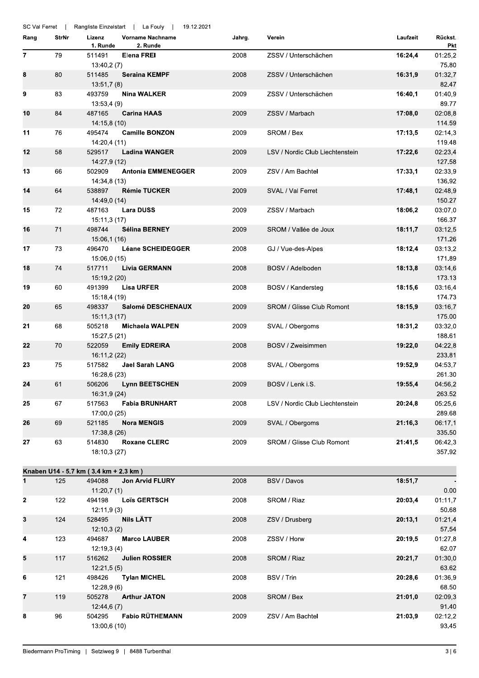| SC Val Ferret |              |                                       | Rangliste Einzelstart   La Fouly<br>19.12.2021 |        |                                  |          |                           |
|---------------|--------------|---------------------------------------|------------------------------------------------|--------|----------------------------------|----------|---------------------------|
| Rang          | <b>StrNr</b> | Lizenz<br>1. Runde                    | <b>Vorname Nachname</b><br>2. Runde            | Jahrg. | Verein                           | Laufzeit | Rückst.<br><b>Pkt</b>     |
| 7             | 79           | 511491<br>13:40,2(7)                  | <b>Elena FREI</b>                              | 2008   | ZSSV / Unterschächen             | 16:24,4  | 01:25,2<br>75.80          |
| 8             | 80           | 511485<br>13:51,7(8)                  | <b>Seraina KEMPF</b>                           | 2008   | ZSSV / Unterschächen             | 16:31,9  | 01:32,7<br>82.47          |
| 9             | 83           | 493759<br>13:53,4(9)                  | Nina WALKER                                    | 2009   | ZSSV / Unterschächen             | 16:40,1  | 01:40,9<br>89.77          |
| 10            | 84           | 487165<br>14:15,8 (10)                | <b>Carina HAAS</b>                             | 2009   | ZSSV / Marbach                   | 17:08,0  | 02:08,8<br>114.59         |
| 11            | 76           | 495474<br>14:20,4 (11)                | <b>Camille BONZON</b>                          | 2009   | SROM / Bex                       | 17:13,5  | 02:14,3<br>119.48         |
| 12            | 58           | 529517<br>14:27,9 (12)                | <b>Ladina WANGER</b>                           | 2009   | LSV / Nordic Club Liechtenstein  | 17:22,6  | 02:23,4<br>127.58         |
| 13            | 66           | 502909<br>14:34,8 (13)                | <b>Antonia EMMENEGGER</b>                      | 2009   | ZSV / Am Bachtel                 | 17:33,1  | 02:33,9<br>136.92         |
| 14            | 64           | 538897<br>14:49,0 (14)                | <b>Rémie TUCKER</b>                            | 2009   | SVAL / Val Ferret                | 17:48,1  | 02:48,9<br>150.27         |
| 15            | 72           | 487163<br>15:11,3 (17)                | <b>Lara DUSS</b>                               | 2009   | ZSSV / Marbach                   | 18:06,2  | 03:07,0<br>166.37         |
| 16            | 71           | 498744<br>15:06,1 (16)                | Sélina BERNEY                                  | 2009   | SROM / Vallée de Joux            | 18:11,7  | 03:12,5<br>171.26         |
| 17            | 73           | 496470<br>15:06,0 (15)                | <b>Léane SCHEIDEGGER</b>                       | 2008   | GJ / Vue-des-Alpes               | 18:12,4  | 03:13,2<br>171.89         |
| 18            | 74           | 517711<br>15:19,2 (20)                | <b>Livia GERMANN</b>                           | 2008   | BOSV / Adelboden                 | 18:13,8  | 03:14,6<br>173.13         |
| 19            | 60           | 491399<br>15:18,4 (19)                | <b>Lisa URFER</b>                              | 2008   | BOSV / Kandersteg                | 18:15,6  | 03:16,4<br>174.73         |
| 20            | 65           | 498337<br>15:11,3 (17)                | Salomé DESCHENAUX                              | 2009   | <b>SROM / Glisse Club Romont</b> | 18:15,9  | 03:16,7<br>175.00         |
| 21            | 68           | 505218<br>15:27,5 (21)                | <b>Michaela WALPEN</b>                         | 2009   | SVAL / Obergoms                  | 18:31,2  | 03:32,0<br>188.61         |
| 22            | 70           | 522059<br>16:11,2 (22)                | <b>Emily EDREIRA</b>                           | 2008   | BOSV / Zweisimmen                | 19:22,0  | 04:22,8<br>233.81         |
| 23            | 75           | 517582<br>16:28,6 (23)                | <b>Jael Sarah LANG</b>                         | 2008   | SVAL / Obergoms                  | 19:52,9  | 04:53,7<br>261.30         |
| 24            | 61           | 506206<br>16:31,9 (24)                | <b>Lynn BEETSCHEN</b>                          | 2009   | BOSV / Lenk i.S.                 | 19:55,4  | 04:56,2<br>263.52         |
| 25            | 67           | 517563<br>17:00,0 (25)                | <b>Fabia BRUNHART</b>                          | 2008   | LSV / Nordic Club Liechtenstein  | 20:24,8  | 05:25.6<br>289.68         |
| 26            | 69           | 521185<br>17:38,8 (26)                | <b>Nora MENGIS</b>                             | 2009   | SVAL / Obergoms                  | 21:16,3  | 06:17,1<br>335.50         |
| 27            | 63           | 514830<br>18:10,3 (27)                | <b>Roxane CLERC</b>                            | 2009   | <b>SROM / Glisse Club Romont</b> | 21:41,5  | 06:42,3<br>357.92         |
|               |              | Knaben U14 - 5.7 km (3.4 km + 2.3 km) |                                                |        |                                  |          |                           |
| $\mathbf{1}$  | 125          | 494088                                | <b>Jon Arvid FLURY</b>                         | 2008   | BSV / Davos                      | 18:51,7  |                           |
| $\mathbf{2}$  | 122          | 11:20,7(1)<br>494198                  | <b>Loïs GERTSCH</b>                            | 2008   | SROM / Riaz                      | 20:03,4  | 0.00<br>01:11,7           |
| 3             | 124          | 12:11,9(3)<br>528495                  | Nils LÄTT                                      | 2008   | ZSV / Drusberg                   | 20:13,1  | 50.68<br>01:21,4<br>57.54 |
| 4             | 123          | 12:10,3(2)<br>494687<br>12:19,3(4)    | <b>Marco LAUBER</b>                            | 2008   | ZSSV / Horw                      | 20:19,5  | 01:27,8<br>62.07          |
| 5             | 117          | 516262<br>12:21,5(5)                  | <b>Julien ROSSIER</b>                          | 2008   | SROM / Riaz                      | 20:21,7  | 01:30,0<br>63.62          |
| 6             | 121          | 498426<br>12:28,9(6)                  | <b>Tylan MICHEL</b>                            | 2008   | BSV / Trin                       | 20:28,6  | 01:36,9<br>68.50          |
| 7             | 119          | 505278<br>12:44,6(7)                  | <b>Arthur JATON</b>                            | 2008   | SROM / Bex                       | 21:01,0  | 02:09,3<br>91.40          |
| 8             | 96           | 504295<br>13:00,6 (10)                | <b>Fabio RÜTHEMANN</b>                         | 2009   | ZSV / Am Bachtel                 | 21:03,9  | 02:12,2<br>93.45          |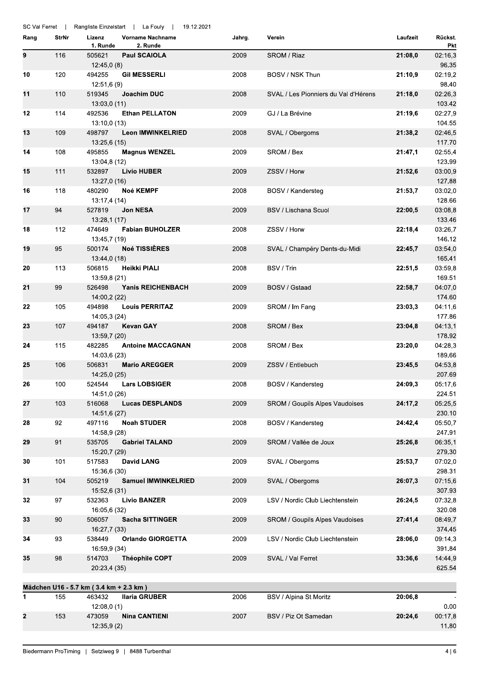| SC Val Ferret |       |                                        | Rangliste Einzelstart   La Fouly    | 19.12.2021 |                                      |          |                          |
|---------------|-------|----------------------------------------|-------------------------------------|------------|--------------------------------------|----------|--------------------------|
| Rang          | StrNr | Lizenz<br>1. Runde                     | <b>Vorname Nachname</b><br>2. Runde | Jahrg.     | Verein                               | Laufzeit | Rückst.<br>Pkt           |
| 9             | 116   | 505621<br>12:45,0(8)                   | <b>Paul SCAIOLA</b>                 | 2009       | SROM / Riaz                          | 21:08,0  | 02:16,3<br>96.35         |
| 10            | 120   | 494255<br>12:51,6(9)                   | <b>Gil MESSERLI</b>                 | 2008       | BOSV / NSK Thun                      | 21:10,9  | 02:19,2<br>98.40         |
| 11            | 110   | 519345<br>13:03,0 (11)                 | Joachim DUC                         | 2008       | SVAL / Les Pionniers du Val d'Hérens | 21:18,0  | 02:26,3<br>103.42        |
| 12            | 114   | 492536<br>13:10,0(13)                  | <b>Ethan PELLATON</b>               | 2009       | GJ / La Brévine                      | 21:19,6  | 02:27,9<br>104.55        |
| 13            | 109   | 498797<br>13.25,6 (15)                 | Leon IMWINKELRIED                   | 2008       | SVAL / Obergoms                      | 21:38,2  | 02:46,5<br>117.70        |
| 14            | 108   | 495855<br>13:04,8 (12)                 | <b>Magnus WENZEL</b>                | 2009       | SROM / Bex                           | 21:47,1  | 02:55,4<br>123.99        |
| 15            | 111   | 532897<br>13:27,0 (16)                 | <b>Livio HUBER</b>                  | 2009       | ZSSV / Horw                          | 21:52,6  | 03:00,9<br>127.88        |
| 16            | 118   | 480290<br>13:17,4 (14)                 | Noé KEMPF                           | 2008       | BOSV / Kandersteg                    | 21:53,7  | 03:02,0<br>128.66        |
| 17            | 94    | 527819<br>13:28,1 (17)                 | <b>Jon NESA</b>                     | 2009       | <b>BSV / Lischana Scuol</b>          | 22:00,5  | 03:08,8<br>133.46        |
| 18            | 112   | 474649<br>13:45,7 (19)                 | <b>Fabian BUHOLZER</b>              | 2008       | ZSSV / Horw                          | 22:18,4  | 03:26,7<br>146.12        |
| 19            | 95    | 500174<br>13:44,0 (18)                 | <b>Noé TISSIÈRES</b>                | 2008       | SVAL / Champéry Dents-du-Midi        | 22:45,7  | 03:54,0<br>165.41        |
| 20            | 113   | 506815<br>13:59,8 (21)                 | Heikki PIALI                        | 2008       | BSV / Trin                           | 22:51,5  | 03:59,8<br>169.51        |
| 21            | 99    | 526498<br>14:00,2 (22)                 | <b>Yanis REICHENBACH</b>            | 2009       | BOSV / Gstaad                        | 22:58,7  | 04:07,0<br>174.60        |
| 22            | 105   | 494898<br>14:05,3 (24)                 | <b>Louis PERRITAZ</b>               | 2009       | SROM / Im Fang                       | 23:03,3  | 04:11,6<br>177.86        |
| 23            | 107   | 494187<br>13:59,7 (20)                 | <b>Kevan GAY</b>                    | 2008       | SROM / Bex                           | 23:04,8  | 04:13,1<br>178.92        |
| 24            | 115   | 482285<br>14:03,6 (23)                 | <b>Antoine MACCAGNAN</b>            | 2008       | SROM / Bex                           | 23:20.0  | 04:28,3<br>189.66        |
| 25            | 106   | 506831<br>14:25,0 (25)                 | <b>Mario AREGGER</b>                | 2009       | ZSSV / Entlebuch                     | 23:45,5  | 04:53,8<br>207.69        |
| 26            | 100   | 524544<br>14:51,0 (26)                 | <b>Lars LOBSIGER</b>                | 2008       | BOSV / Kandersteg                    | 24:09,3  | 05:17,6<br>224.51        |
| 27            | 103   | 516068<br>14:51,6 (27)                 | <b>Lucas DESPLANDS</b>              | 2009       | SROM / Goupils Alpes Vaudoises       | 24:17,2  | 05:25,5<br>230.10        |
| 28            | 92    | 497116<br>14:58,9 (28)                 | <b>Noah STUDER</b>                  | 2008       | BOSV / Kandersteg                    | 24:42,4  | 05:50,7<br>247.91        |
| 29            | 91    | 535705<br>15:20,7 (29)                 | <b>Gabriel TALAND</b>               | 2009       | SROM / Vallée de Joux                | 25:26,8  | 06:35,1<br>279.30        |
| 30            | 101   | 517583<br>15:36,6 (30)                 | <b>David LANG</b>                   | 2009       | SVAL / Obergoms                      | 25:53,7  | 07:02,0<br>298.31        |
| 31            | 104   | 505219<br>15:52,6(31)                  | <b>Samuel IMWINKELRIED</b>          | 2009       | SVAL / Obergoms                      | 26:07,3  | 07:15,6<br>307.93        |
| 32            | 97    | 532363<br>16:05,6 (32)                 | <b>Livio BANZER</b>                 | 2009       | LSV / Nordic Club Liechtenstein      | 26:24,5  | 07:32,8<br>320.08        |
| 33            | 90    | 506057<br>16:27,7 (33)                 | <b>Sacha SITTINGER</b>              | 2009       | SROM / Goupils Alpes Vaudoises       | 27:41,4  | 08:49,7<br>374.45        |
| 34            | 93    | 538449<br>16:59,9 (34)                 | <b>Orlando GIORGETTA</b>            | 2009       | LSV / Nordic Club Liechtenstein      | 28:06,0  | 09:14,3<br>391.84        |
| 35            | 98    | 514703<br>20:23,4 (35)                 | <b>Théophile COPT</b>               | 2009       | SVAL / Val Ferret                    | 33:36,6  | 14:44,9<br>625.54        |
|               |       | Mädchen U16 - 5.7 km (3.4 km + 2.3 km) |                                     |            |                                      |          |                          |
| 1             | 155   | 463432                                 | <b>Ilaria GRUBER</b>                | 2006       | BSV / Alpina St.Moritz               | 20:06,8  |                          |
| 2             | 153   | 12:08,0(1)<br>473059<br>12:35,9(2)     | <b>Nina CANTIENI</b>                | 2007       | BSV / Piz Ot Samedan                 | 20:24,6  | 0.00<br>00:17,8<br>11.80 |
|               |       |                                        |                                     |            |                                      |          |                          |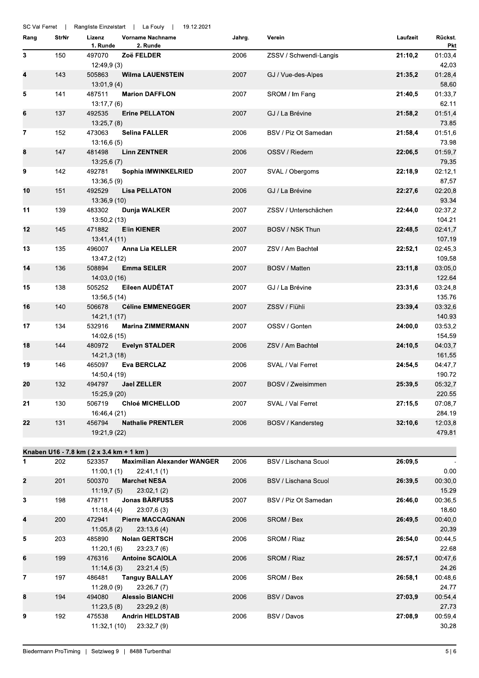|                |       | SC Val Ferret   Rangliste Einzelstart   La Fouly  <br>19.12.2021 |        |                        |          |                   |
|----------------|-------|------------------------------------------------------------------|--------|------------------------|----------|-------------------|
| Rang           | StrNr | <b>Vorname Nachname</b><br>Lizenz<br>1. Runde<br>2. Runde        | Jahrg. | Verein                 | Laufzeit | Rückst.<br>Pkt    |
| 3              | 150   | 497070<br>Zoë FELDER<br>12:49,9(3)                               | 2006   | ZSSV / Schwendi-Langis | 21:10,2  | 01:03,4<br>42.03  |
| 4              | 143   | 505863<br><b>Wilma LAUENSTEIN</b><br>13:01,9(4)                  | 2007   | GJ / Vue-des-Alpes     | 21:35,2  | 01:28,4<br>58.60  |
| 5              | 141   | 487511<br><b>Marion DAFFLON</b><br>13:17,7(6)                    | 2007   | SROM / Im Fang         | 21:40,5  | 01:33,7<br>62.11  |
| 6              | 137   | 492535<br><b>Erine PELLATON</b><br>13.25,7(8)                    | 2007   | GJ / La Brévine        | 21:58,2  | 01:51,4<br>73.85  |
| $\overline{7}$ | 152   | 473063<br><b>Selina FALLER</b><br>13.16,6(5)                     | 2006   | BSV / Piz Ot Samedan   | 21:58,4  | 01:51,6<br>73.98  |
| 8              | 147   | 481498<br><b>Linn ZENTNER</b><br>13:25,6(7)                      | 2006   | OSSV / Riedern         | 22:06,5  | 01:59,7<br>79.35  |
| 9              | 142   | 492781<br>Sophia IMWINKELRIED<br>13:36,5(9)                      | 2007   | SVAL / Obergoms        | 22:18,9  | 02:12,1<br>87.57  |
| 10             | 151   | 492529<br><b>Lisa PELLATON</b><br>13:36,9 (10)                   | 2006   | GJ / La Brévine        | 22:27,6  | 02:20,8<br>93.34  |
| 11             | 139   | 483302<br>Dunja WALKER<br>13:50,2 (13)                           | 2007   | ZSSV / Unterschächen   | 22:44,0  | 02:37,2<br>104.21 |
| 12             | 145   | 471882<br><b>Elin KIENER</b><br>13:41,4 (11)                     | 2007   | BOSV / NSK Thun        | 22:48,5  | 02:41,7<br>107.19 |
| 13             | 135   | 496007<br><b>Anna Lia KELLER</b><br>13:47,2 (12)                 | 2007   | ZSV / Am Bachtel       | 22:52,1  | 02:45,3<br>109.58 |
| 14             | 136   | 508894<br><b>Emma SEILER</b><br>14:03,0 (16)                     | 2007   | BOSV / Matten          | 23:11,8  | 03:05,0<br>122.64 |
| 15             | 138   | Eileen AUDÉTAT<br>505252<br>13:56,5 (14)                         | 2007   | GJ / La Brévine        | 23:31,6  | 03:24,8<br>135.76 |
| 16             | 140   | 506678<br><b>Céline EMMENEGGER</b><br>14:21,1 (17)               | 2007   | ZSSV / Flühli          | 23:39,4  | 03:32,6<br>140.93 |
| 17             | 134   | 532916<br><b>Marina ZIMMERMANN</b><br>14:02,6 (15)               | 2007   | OSSV / Gonten          | 24:00,0  | 03:53,2<br>154.59 |
| 18             | 144   | 480972<br><b>Evelyn STALDER</b><br>14:21,3 (18)                  | 2006   | ZSV / Am Bachtel       | 24:10,5  | 04:03,7<br>161.55 |
| 19             | 146   | 465097<br>Eva BERCLAZ<br>14:50,4 (19)                            | 2006   | SVAL / Val Ferret      | 24:54,5  | 04:47,7<br>190.72 |
| 20             | 132   | 494797 Jael ZELLER<br>15:25,9 (20)                               | 2007   | BOSV / Zweisimmen      | 25:39,5  | 05:32,7<br>220.55 |
| 21             | 130   | <b>Chloé MICHELLOD</b><br>506719<br>16:46,4 (21)                 | 2007   | SVAL / Val Ferret      | 27:15,5  | 07:08,7<br>284.19 |
| 22             | 131   | 456794<br><b>Nathalie PRENTLER</b><br>19:21,9 (22)               | 2006   | BOSV / Kandersteg      | 32:10,6  | 12:03,8<br>479.81 |
|                |       | Knaben U16 - 7.8 km ( 2 x 3.4 km + 1 km )                        |        |                        |          |                   |
| 1              | 202   | <b>Maximilian Alexander WANGER</b><br>523357                     | 2006   | BSV / Lischana Scuol   | 26:09,5  |                   |
|                |       | 11:00,1(1)<br>22:41,1(1)                                         |        |                        |          | 0.00              |
| 2              | 201   | 500370<br><b>Marchet NESA</b>                                    | 2006   | BSV / Lischana Scuol   | 26:39,5  | 00:30,0           |
|                |       | 11:19,7(5)<br>23:02,1(2)                                         |        |                        |          | 15.29             |
| 3              | 198   | <b>Jonas BÄRFUSS</b><br>478711<br>11:18,4(4)<br>23:07,6(3)       | 2007   | BSV / Piz Ot Samedan   | 26:46,0  | 00:36,5<br>18.60  |
| 4              | 200   | 472941<br><b>Pierre MACCAGNAN</b>                                | 2006   | SROM / Bex             | 26:49,5  | 00:40,0           |
|                |       | 11:05,8(2)<br>23:13,6(4)                                         |        |                        |          | 20.39             |
| 5              | 203   | 485890<br><b>Nolan GERTSCH</b><br>11:20,1(6)<br>23:23,7(6)       | 2006   | SROM / Riaz            | 26:54,0  | 00:44,5<br>22.68  |
| 6              | 199   | 476316<br><b>Antoine SCAIOLA</b><br>11:14,6(3)<br>23:21,4(5)     | 2006   | SROM / Riaz            | 26:57,1  | 00:47,6<br>24.26  |
| 7              | 197   | 486481<br><b>Tanguy BALLAY</b>                                   | 2006   | SROM / Bex             | 26:58,1  | 00:48,6           |
| 8              | 194   | 23:26,7(7)<br>11:28,0(9)<br>494080<br><b>Alessio BIANCHI</b>     | 2006   | BSV / Davos            | 27:03,9  | 24.77<br>00:54,4  |
|                |       | 11:23,5(8)<br>23:29,2(8)                                         |        |                        |          | 27.73             |
| 9              | 192   | 475538<br><b>Andrin HELDSTAB</b><br>11:32,1(10)<br>23:32,7(9)    | 2006   | BSV / Davos            | 27:08,9  | 00:59,4<br>30.28  |